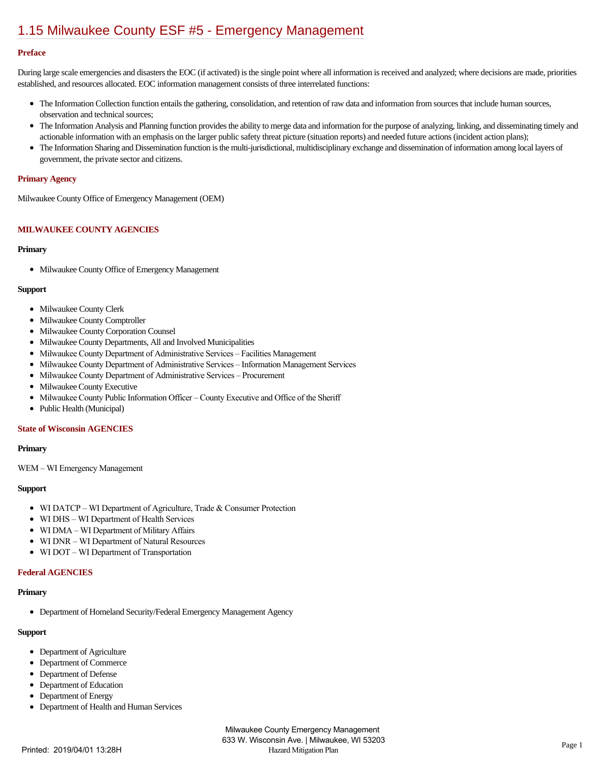# [1.15 Milwaukee County ESF #5 - Emergency Management](https://milwaukeecounty.isc-cemp.com/Cemp/Details?id=5805893)

#### **Preface**

During large scale emergencies and disasters the EOC (if activated) is the single point where all information is received and analyzed; where decisions are made, priorities established, and resources allocated. EOC information management consists of three interrelated functions:

- The Information Collection function entails the gathering, consolidation, and retention of raw data and information from sources that include human sources, observation and technical sources;
- The Information Analysis and Planning function provides the ability to merge data and information for the purpose of analyzing, linking, and disseminating timely and  $\bullet$ actionable information with an emphasis on the larger public safety threat picture (situation reports) and needed future actions (incident action plans);
- The Information Sharing and Dissemination function is the multi-jurisdictional, multidisciplinary exchange and dissemination of information among local layers of  $\bullet$ government, the private sector and citizens.

#### **Primary Agency**

Milwaukee County Office of Emergency Management (OEM)

### **MILWAUKEE COUNTY AGENCIES**

#### **Primary**

Milwaukee County Office of Emergency Management

#### **Support**

- Milwaukee County Clerk
- Milwaukee County Comptroller  $\bullet$
- Milwaukee County Corporation Counsel  $\bullet$
- $\bullet$ Milwaukee County Departments, All and Involved Municipalities
- $\bullet$ Milwaukee County Department of Administrative Services – Facilities Management
- Milwaukee County Department of Administrative Services Information Management Services  $\bullet$
- Milwaukee County Department of Administrative Services Procurement  $\bullet$
- $\bullet$ Milwaukee County Executive
- $\bullet$ Milwaukee County Public Information Officer – County Executive and Office of the Sheriff
- $\bullet$ Public Health (Municipal)

### **State of Wisconsin AGENCIES**

#### **Primary**

WEM – WI Emergency Management

#### **Support**

- WI DATCP WI Department of Agriculture, Trade & Consumer Protection
- WI DHS WI Department of Health Services
- WI DMA WI Department of Military Affairs
- WI DNR WI Department of Natural Resources
- WI DOT WI Department of Transportation

#### **Federal AGENCIES**

#### **Primary**

Department of Homeland Security/Federal Emergency Management Agency

## **Support**

- Department of Agriculture
- Department of Commerce
- $\bullet$ Department of Defense
- Department of Education
- $\bullet$ Department of Energy
- $\bullet$ Department of Health and Human Services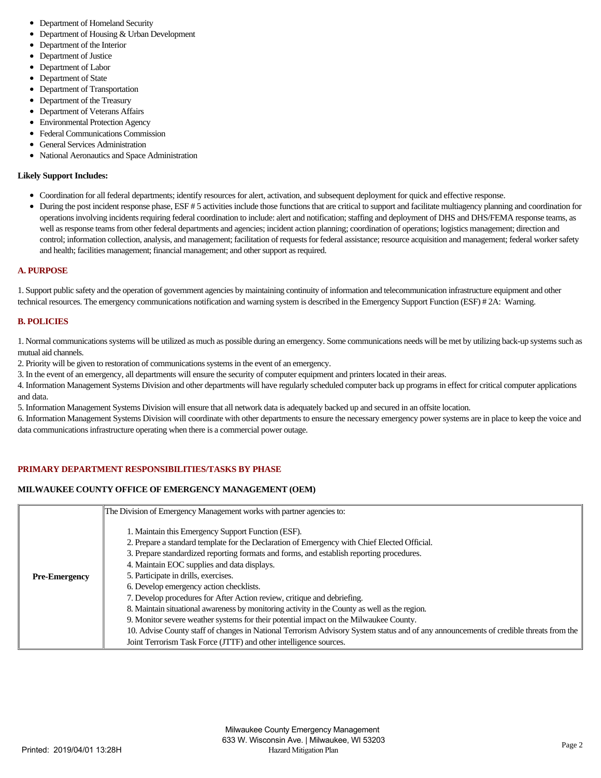- Department of Homeland Security  $\bullet$
- Department of Housing & Urban Development
- Department of the Interior
- Department of Justice  $\bullet$
- Department of Labor  $\bullet$
- Department of State  $\bullet$
- Department of Transportation  $\bullet$
- $\bullet$ Department of the Treasury
- $\bullet$ Department of Veterans Affairs
- $\bullet$ Environmental Protection Agency
- Federal Communications Commission  $\bullet$
- General Services Administration  $\bullet$
- National Aeronautics and Space Administration

#### **Likely Support Includes:**

- Coordination for all federal departments; identify resources for alert, activation, and subsequent deployment for quick and effective response.
- During the post incident response phase, ESF # 5 activities include those functions that are critical to support and facilitate multiagency planning and coordination for operations involving incidents requiring federal coordination to include: alert and notification; staffing and deployment of DHS and DHS/FEMA response teams, as well as response teams from other federal departments and agencies; incident action planning; coordination of operations; logistics management; direction and control; information collection, analysis, and management; facilitation of requests for federal assistance; resource acquisition and management; federal worker safety and health; facilities management; financial management; and other support as required.

### **A. PURPOSE**

1. Support public safety and the operation of government agencies by maintaining continuity of information and telecommunication infrastructure equipment and other technical resources. The emergency communications notification and warning system is described in the Emergency Support Function (ESF) # 2A: Warning.

## **B. POLICIES**

1. Normal communications systems will be utilized as much as possible during an emergency. Some communications needs will be met by utilizing back-up systems such as mutual aid channels.

2. Priority will be given to restoration of communications systems in the event of an emergency.

3. In the event of an emergency, all departments will ensure the security of computer equipment and printers located in their areas.

4. Information Management Systems Division and other departments will have regularly scheduled computer back up programs in effect for critical computer applications and data.

5. Information Management Systems Division will ensure that all network data is adequately backed up and secured in an offsite location.

6. Information Management Systems Division will coordinate with other departments to ensure the necessary emergency power systems are in place to keep the voice and data communications infrastructure operating when there is a commercial power outage.

## **PRIMARY DEPARTMENT RESPONSIBILITIES/TASKS BY PHASE**

## **MILWAUKEE COUNTY OFFICE OF EMERGENCY MANAGEMENT (OEM)**

|                      | The Division of Emergency Management works with partner agencies to:                                                                                                                                                                                                                                                                                                                                                                                                                                                                                                                                                                                                                                                                                                                                                                                                |
|----------------------|---------------------------------------------------------------------------------------------------------------------------------------------------------------------------------------------------------------------------------------------------------------------------------------------------------------------------------------------------------------------------------------------------------------------------------------------------------------------------------------------------------------------------------------------------------------------------------------------------------------------------------------------------------------------------------------------------------------------------------------------------------------------------------------------------------------------------------------------------------------------|
| <b>Pre-Emergency</b> | 1. Maintain this Emergency Support Function (ESF).<br>2. Prepare a standard template for the Declaration of Emergency with Chief Elected Official.<br>3. Prepare standardized reporting formats and forms, and establish reporting procedures.<br>4. Maintain EOC supplies and data displays.<br>5. Participate in drills, exercises.<br>6. Develop emergency action checklists.<br>7. Develop procedures for After Action review, critique and debriefing.<br>8. Maintain situational awareness by monitoring activity in the County as well as the region.<br>9. Monitor severe weather systems for their potential impact on the Milwaukee County.<br>10. Advise County staff of changes in National Terrorism Advisory System status and of any announcements of credible threats from the<br>Joint Terrorism Task Force (JTTF) and other intelligence sources. |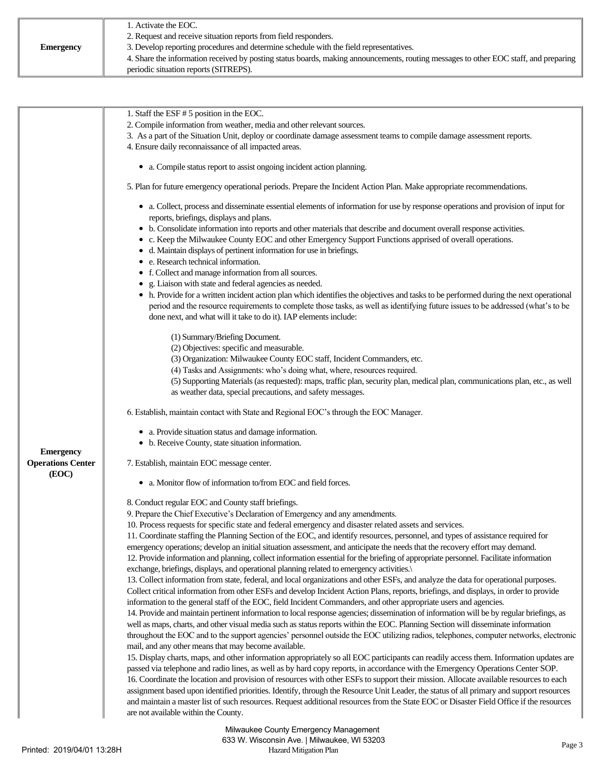| Emergency | 1. Activate the EOC.<br>2. Request and receive situation reports from field responders.<br>3. Develop reporting procedures and determine schedule with the field representatives.<br>4. Share the information received by posting status boards, making announcements, routing messages to other EOC staff, and preparing |
|-----------|---------------------------------------------------------------------------------------------------------------------------------------------------------------------------------------------------------------------------------------------------------------------------------------------------------------------------|
|           | periodic situation reports (SITREPS).                                                                                                                                                                                                                                                                                     |

|                          | 1. Staff the ESF # 5 position in the EOC.                                                                                                                                    |
|--------------------------|------------------------------------------------------------------------------------------------------------------------------------------------------------------------------|
|                          | 2. Compile information from weather, media and other relevant sources.                                                                                                       |
|                          | 3. As a part of the Situation Unit, deploy or coordinate damage assessment teams to compile damage assessment reports.                                                       |
|                          | 4. Ensure daily reconnaissance of all impacted areas.                                                                                                                        |
|                          |                                                                                                                                                                              |
|                          | • a. Compile status report to assist ongoing incident action planning.                                                                                                       |
|                          | 5. Plan for future emergency operational periods. Prepare the Incident Action Plan. Make appropriate recommendations.                                                        |
|                          | • a. Collect, process and disseminate essential elements of information for use by response operations and provision of input for<br>reports, briefings, displays and plans. |
|                          | • b. Consolidate information into reports and other materials that describe and document overall response activities.                                                        |
|                          | c. Keep the Milwaukee County EOC and other Emergency Support Functions apprised of overall operations.                                                                       |
|                          | • d. Maintain displays of pertinent information for use in briefings.                                                                                                        |
|                          | e. Research technical information.                                                                                                                                           |
|                          | • f. Collect and manage information from all sources.                                                                                                                        |
|                          | g. Liaison with state and federal agencies as needed.                                                                                                                        |
|                          | • h. Provide for a written incident action plan which identifies the objectives and tasks to be performed during the next operational                                        |
|                          | period and the resource requirements to complete those tasks, as well as identifying future issues to be addressed (what's to be                                             |
|                          | done next, and what will it take to do it). IAP elements include:                                                                                                            |
|                          |                                                                                                                                                                              |
|                          | (1) Summary/Briefing Document.                                                                                                                                               |
|                          | (2) Objectives: specific and measurable.                                                                                                                                     |
|                          | (3) Organization: Milwaukee County EOC staff, Incident Commanders, etc.                                                                                                      |
|                          | (4) Tasks and Assignments: who's doing what, where, resources required.                                                                                                      |
|                          | (5) Supporting Materials (as requested): maps, traffic plan, security plan, medical plan, communications plan, etc., as well                                                 |
|                          | as weather data, special precautions, and safety messages.                                                                                                                   |
|                          | 6. Establish, maintain contact with State and Regional EOC's through the EOC Manager.                                                                                        |
|                          | • a. Provide situation status and damage information.                                                                                                                        |
|                          | • b. Receive County, state situation information.                                                                                                                            |
| <b>Emergency</b>         |                                                                                                                                                                              |
| <b>Operations Center</b> | 7. Establish, maintain EOC message center.                                                                                                                                   |
| (EOC)                    |                                                                                                                                                                              |
|                          | • a. Monitor flow of information to/from EOC and field forces.                                                                                                               |
|                          | 8. Conduct regular EOC and County staff briefings.                                                                                                                           |
|                          | 9. Prepare the Chief Executive's Declaration of Emergency and any amendments.                                                                                                |
|                          | 10. Process requests for specific state and federal emergency and disaster related assets and services.                                                                      |
|                          | 11. Coordinate staffing the Planning Section of the EOC, and identify resources, personnel, and types of assistance required for                                             |
|                          | emergency operations; develop an initial situation assessment, and anticipate the needs that the recovery effort may demand.                                                 |
|                          | 12. Provide information and planning, collect information essential for the briefing of appropriate personnel. Facilitate information                                        |
|                          | exchange, briefings, displays, and operational planning related to emergency activities.\                                                                                    |
|                          | 13. Collect information from state, federal, and local organizations and other ESFs, and analyze the data for operational purposes.                                          |
|                          | Collect critical information from other ESFs and develop Incident Action Plans, reports, briefings, and displays, in order to provide                                        |
|                          | information to the general staff of the EOC, field Incident Commanders, and other appropriate users and agencies.                                                            |
|                          | 14. Provide and maintain pertinent information to local response agencies; dissemination of information will be by regular briefings, as                                     |
|                          | well as maps, charts, and other visual media such as status reports within the EOC. Planning Section will disseminate information                                            |
|                          | throughout the EOC and to the support agencies' personnel outside the EOC utilizing radios, telephones, computer networks, electronic                                        |
|                          | mail, and any other means that may become available.                                                                                                                         |
|                          | 15. Display charts, maps, and other information appropriately so all EOC participants can readily access them. Information updates are                                       |
|                          | passed via telephone and radio lines, as well as by hard copy reports, in accordance with the Emergency Operations Center SOP.                                               |
|                          | 16. Coordinate the location and provision of resources with other ESFs to support their mission. Allocate available resources to each                                        |
|                          | assignment based upon identified priorities. Identify, through the Resource Unit Leader, the status of all primary and support resources                                     |
|                          | and maintain a master list of such resources. Request additional resources from the State EOC or Disaster Field Office if the resources                                      |
|                          | are not available within the County.                                                                                                                                         |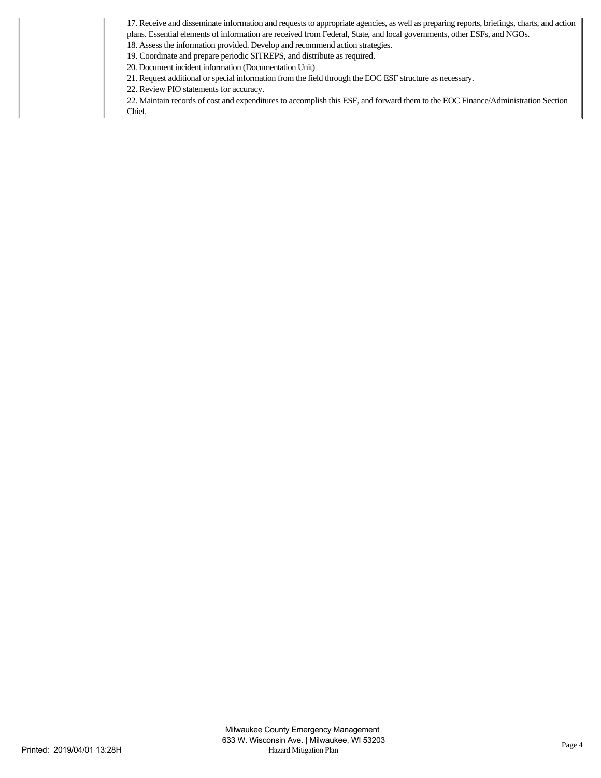| 17. Receive and disseminate information and requests to appropriate agencies, as well as preparing reports, briefings, charts, and action |
|-------------------------------------------------------------------------------------------------------------------------------------------|
| plans. Essential elements of information are received from Federal, State, and local governments, other ESFs, and NGOs.                   |
| 18. Assess the information provided. Develop and recommend action strategies.                                                             |
| 19. Coordinate and prepare periodic SITREPS, and distribute as required.                                                                  |
| 20. Document incident information (Documentation Unit)                                                                                    |
| 21. Request additional or special information from the field through the EOC ESF structure as necessary.                                  |
| 22. Review PIO statements for accuracy.                                                                                                   |
| 22. Maintain records of cost and expenditures to accomplish this ESF, and forward them to the EOC Finance/Administration Section          |
| Chief.                                                                                                                                    |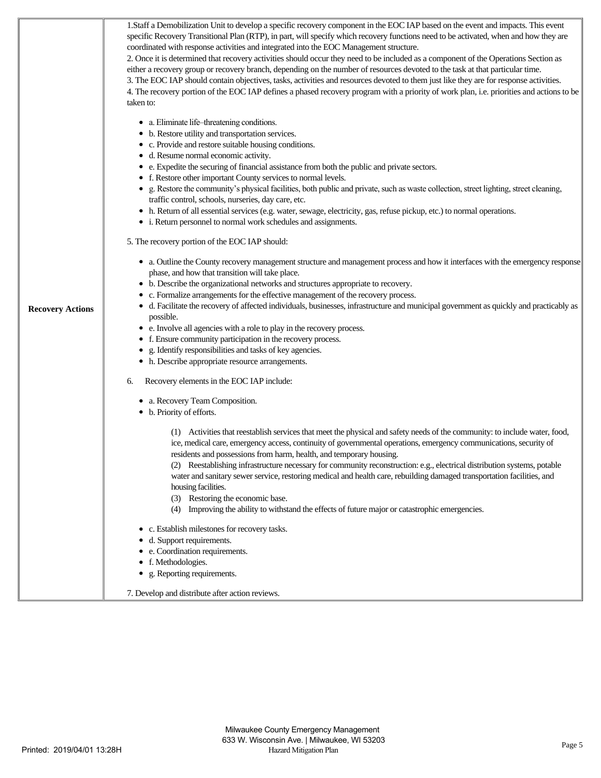| <b>Recovery Actions</b> | 1.Staff a Demobilization Unit to develop a specific recovery component in the EOC IAP based on the event and impacts. This event<br>specific Recovery Transitional Plan (RTP), in part, will specify which recovery functions need to be activated, when and how they are<br>coordinated with response activities and integrated into the EOC Management structure.<br>2. Once it is determined that recovery activities should occur they need to be included as a component of the Operations Section as<br>either a recovery group or recovery branch, depending on the number of resources devoted to the task at that particular time.<br>3. The EOC IAP should contain objectives, tasks, activities and resources devoted to them just like they are for response activities.<br>4. The recovery portion of the EOC IAP defines a phased recovery program with a priority of work plan, i.e. priorities and actions to be<br>taken to:<br>• a. Eliminate life-threatening conditions.<br>• b. Restore utility and transportation services.<br>• c. Provide and restore suitable housing conditions.<br>• d. Resume normal economic activity.<br>• e. Expedite the securing of financial assistance from both the public and private sectors.<br>• f. Restore other important County services to normal levels.<br>• g. Restore the community's physical facilities, both public and private, such as waste collection, street lighting, street cleaning,<br>traffic control, schools, nurseries, day care, etc.<br>• h. Return of all essential services (e.g. water, sewage, electricity, gas, refuse pickup, etc.) to normal operations.<br>• i. Return personnel to normal work schedules and assignments.<br>5. The recovery portion of the EOC IAP should:<br>• a. Outline the County recovery management structure and management process and how it interfaces with the emergency response<br>phase, and how that transition will take place.<br>• b. Describe the organizational networks and structures appropriate to recovery.<br>• c. Formalize arrangements for the effective management of the recovery process.<br>• d. Facilitate the recovery of affected individuals, businesses, infrastructure and municipal government as quickly and practicably as<br>possible.<br>• e. Involve all agencies with a role to play in the recovery process.<br>• f. Ensure community participation in the recovery process.<br>g. Identify responsibilities and tasks of key agencies.<br>• h. Describe appropriate resource arrangements. |
|-------------------------|--------------------------------------------------------------------------------------------------------------------------------------------------------------------------------------------------------------------------------------------------------------------------------------------------------------------------------------------------------------------------------------------------------------------------------------------------------------------------------------------------------------------------------------------------------------------------------------------------------------------------------------------------------------------------------------------------------------------------------------------------------------------------------------------------------------------------------------------------------------------------------------------------------------------------------------------------------------------------------------------------------------------------------------------------------------------------------------------------------------------------------------------------------------------------------------------------------------------------------------------------------------------------------------------------------------------------------------------------------------------------------------------------------------------------------------------------------------------------------------------------------------------------------------------------------------------------------------------------------------------------------------------------------------------------------------------------------------------------------------------------------------------------------------------------------------------------------------------------------------------------------------------------------------------------------------------------------------------------------------------------------------------------------------------------------------------------------------------------------------------------------------------------------------------------------------------------------------------------------------------------------------------------------------------------------------------------------------------------------------------------------------------------------------------------------------------------------------------------------------------------------------------------------------------------------|
|                         | Recovery elements in the EOC IAP include:<br>6.<br>• a. Recovery Team Composition.<br>• b. Priority of efforts.<br>(1) Activities that reestablish services that meet the physical and safety needs of the community: to include water, food,<br>ice, medical care, emergency access, continuity of governmental operations, emergency communications, security of<br>residents and possessions from harm, health, and temporary housing.<br>Reestablishing infrastructure necessary for community reconstruction: e.g., electrical distribution systems, potable<br>water and sanitary sewer service, restoring medical and health care, rebuilding damaged transportation facilities, and<br>housing facilities.<br>(3) Restoring the economic base.<br>Improving the ability to withstand the effects of future major or catastrophic emergencies.<br>(4)<br>c. Establish milestones for recovery tasks.<br>d. Support requirements.<br>e. Coordination requirements.<br>f. Methodologies.<br>g. Reporting requirements.<br>٠<br>7. Develop and distribute after action reviews.                                                                                                                                                                                                                                                                                                                                                                                                                                                                                                                                                                                                                                                                                                                                                                                                                                                                                                                                                                                                                                                                                                                                                                                                                                                                                                                                                                                                                                                                    |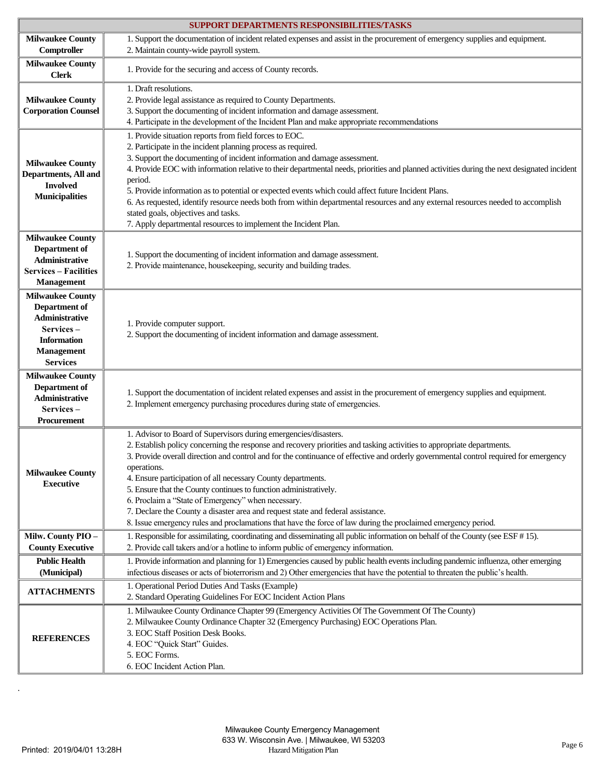| SUPPORT DEPARTMENTS RESPONSIBILITIES/TASKS                                                                                            |                                                                                                                                                                                                                                                                                                                                                                                                                                                                                                                                                                                                                                                                                                                                                   |
|---------------------------------------------------------------------------------------------------------------------------------------|---------------------------------------------------------------------------------------------------------------------------------------------------------------------------------------------------------------------------------------------------------------------------------------------------------------------------------------------------------------------------------------------------------------------------------------------------------------------------------------------------------------------------------------------------------------------------------------------------------------------------------------------------------------------------------------------------------------------------------------------------|
| <b>Milwaukee County</b><br>Comptroller                                                                                                | 1. Support the documentation of incident related expenses and assist in the procurement of emergency supplies and equipment.<br>2. Maintain county-wide payroll system.                                                                                                                                                                                                                                                                                                                                                                                                                                                                                                                                                                           |
| <b>Milwaukee County</b><br><b>Clerk</b>                                                                                               | 1. Provide for the securing and access of County records.                                                                                                                                                                                                                                                                                                                                                                                                                                                                                                                                                                                                                                                                                         |
| <b>Milwaukee County</b><br><b>Corporation Counsel</b>                                                                                 | 1. Draft resolutions.<br>2. Provide legal assistance as required to County Departments.<br>3. Support the documenting of incident information and damage assessment.<br>4. Participate in the development of the Incident Plan and make appropriate recommendations                                                                                                                                                                                                                                                                                                                                                                                                                                                                               |
| <b>Milwaukee County</b><br>Departments, All and<br><b>Involved</b><br><b>Municipalities</b>                                           | 1. Provide situation reports from field forces to EOC.<br>2. Participate in the incident planning process as required.<br>3. Support the documenting of incident information and damage assessment.<br>4. Provide EOC with information relative to their departmental needs, priorities and planned activities during the next designated incident<br>period.<br>5. Provide information as to potential or expected events which could affect future Incident Plans.<br>6. As requested, identify resource needs both from within departmental resources and any external resources needed to accomplish<br>stated goals, objectives and tasks.<br>7. Apply departmental resources to implement the Incident Plan.                                |
| <b>Milwaukee County</b><br>Department of<br>Administrative<br><b>Services - Facilities</b><br><b>Management</b>                       | 1. Support the documenting of incident information and damage assessment.<br>2. Provide maintenance, housekeeping, security and building trades.                                                                                                                                                                                                                                                                                                                                                                                                                                                                                                                                                                                                  |
| <b>Milwaukee County</b><br>Department of<br>Administrative<br>Services-<br><b>Information</b><br><b>Management</b><br><b>Services</b> | 1. Provide computer support.<br>2. Support the documenting of incident information and damage assessment.                                                                                                                                                                                                                                                                                                                                                                                                                                                                                                                                                                                                                                         |
| <b>Milwaukee County</b><br>Department of<br>Administrative<br>Services-<br>Procurement                                                | 1. Support the documentation of incident related expenses and assist in the procurement of emergency supplies and equipment.<br>2. Implement emergency purchasing procedures during state of emergencies.                                                                                                                                                                                                                                                                                                                                                                                                                                                                                                                                         |
| <b>Milwaukee County</b><br><b>Executive</b>                                                                                           | 1. Advisor to Board of Supervisors during emergencies/disasters.<br>2. Establish policy concerning the response and recovery priorities and tasking activities to appropriate departments.<br>3. Provide overall direction and control and for the continuance of effective and orderly governmental control required for emergency<br>operations.<br>4. Ensure participation of all necessary County departments.<br>5. Ensure that the County continues to function administratively.<br>6. Proclaim a "State of Emergency" when necessary.<br>7. Declare the County a disaster area and request state and federal assistance.<br>8. Issue emergency rules and proclamations that have the force of law during the proclaimed emergency period. |
| Milw. County PIO-<br><b>County Executive</b>                                                                                          | 1. Responsible for assimilating, coordinating and disseminating all public information on behalf of the County (see ESF #15).<br>2. Provide call takers and/or a hotline to inform public of emergency information.                                                                                                                                                                                                                                                                                                                                                                                                                                                                                                                               |
| <b>Public Health</b><br>(Municipal)                                                                                                   | 1. Provide information and planning for 1) Emergencies caused by public health events including pandemic influenza, other emerging<br>infectious diseases or acts of bioterrorism and 2) Other emergencies that have the potential to threaten the public's health.                                                                                                                                                                                                                                                                                                                                                                                                                                                                               |
| <b>ATTACHMENTS</b>                                                                                                                    | 1. Operational Period Duties And Tasks (Example)<br>2. Standard Operating Guidelines For EOC Incident Action Plans                                                                                                                                                                                                                                                                                                                                                                                                                                                                                                                                                                                                                                |
| <b>REFERENCES</b>                                                                                                                     | 1. Milwaukee County Ordinance Chapter 99 (Emergency Activities Of The Government Of The County)<br>2. Milwaukee County Ordinance Chapter 32 (Emergency Purchasing) EOC Operations Plan.<br>3. EOC Staff Position Desk Books.<br>4. EOC "Quick Start" Guides.<br>5. EOC Forms.<br>6. EOC Incident Action Plan.                                                                                                                                                                                                                                                                                                                                                                                                                                     |

.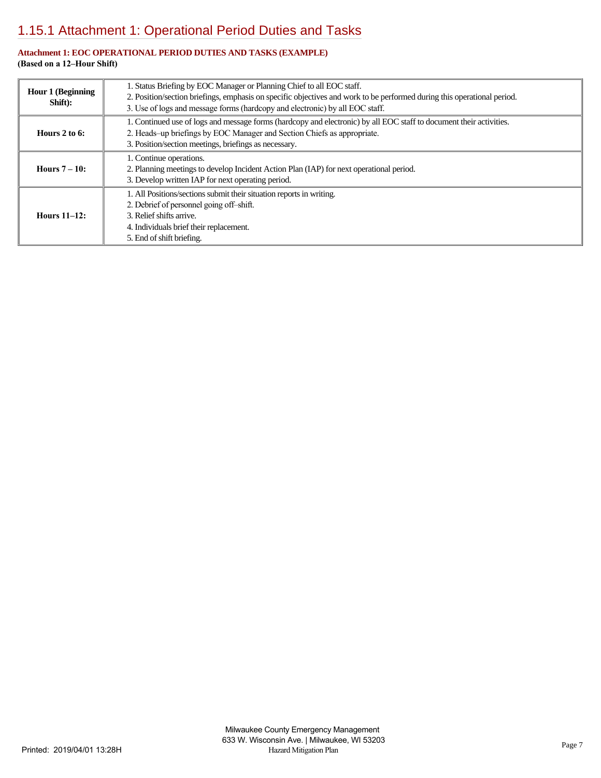# [1.15.1 Attachment 1: Operational Period Duties and Tasks](https://milwaukeecounty.isc-cemp.com/Cemp/Details?id=5810286)

# **Attachment 1: EOC OPERATIONAL PERIOD DUTIES AND TASKS (EXAMPLE) (Based on a 12–Hour Shift)**

| <b>Hour 1 (Beginning</b><br>Shift): | 1. Status Briefing by EOC Manager or Planning Chief to all EOC staff.<br>2. Position/section briefings, emphasis on specific objectives and work to be performed during this operational period.<br>3. Use of logs and message forms (hardcopy and electronic) by all EOC staff. |
|-------------------------------------|----------------------------------------------------------------------------------------------------------------------------------------------------------------------------------------------------------------------------------------------------------------------------------|
| Hours $2$ to 6:                     | 1. Continued use of logs and message forms (hardcopy and electronic) by all EOC staff to document their activities.<br>2. Heads-up briefings by EOC Manager and Section Chiefs as appropriate.<br>3. Position/section meetings, briefings as necessary.                          |
| Hours $7-10$ :                      | 1. Continue operations.<br>2. Planning meetings to develop Incident Action Plan (IAP) for next operational period.<br>3. Develop written IAP for next operating period.                                                                                                          |
| <b>Hours 11-12:</b>                 | 1. All Positions/sections submit their situation reports in writing.<br>2. Debrief of personnel going off-shift.<br>3. Relief shifts arrive.<br>4. Individuals brief their replacement.<br>5. End of shift briefing.                                                             |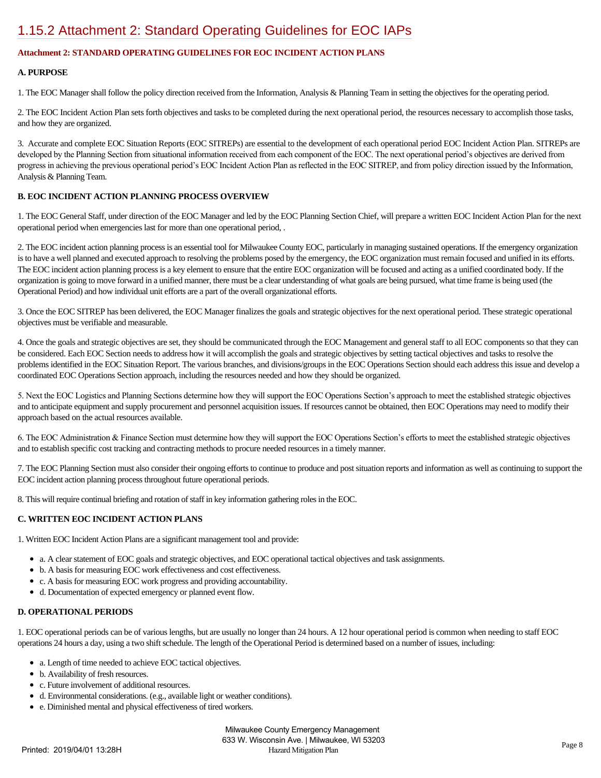# [1.15.2 Attachment 2: Standard Operating Guidelines for EOC IAPs](https://milwaukeecounty.isc-cemp.com/Cemp/Details?id=5810288)

# **Attachment 2: STANDARD OPERATING GUIDELINES FOR EOC INCIDENT ACTION PLANS**

## **A. PURPOSE**

1. The EOC Manager shall follow the policy direction received from the Information, Analysis & Planning Team in setting the objectives for the operating period.

2. The EOC Incident Action Plan sets forth objectives and tasks to be completed during the next operational period, the resources necessary to accomplish those tasks, and how they are organized.

3. Accurate and complete EOC Situation Reports (EOC SITREPs) are essential to the development of each operational period EOC Incident Action Plan. SITREPs are developed by the Planning Section from situational information received from each component of the EOC. The next operational period's objectives are derived from progress in achieving the previous operational period's EOC Incident Action Plan as reflected in the EOC SITREP, and from policy direction issued by the Information, Analysis & Planning Team.

## **B. EOC INCIDENT ACTION PLANNING PROCESS OVERVIEW**

1. The EOC General Staff, under direction of the EOC Manager and led by the EOC Planning Section Chief, will prepare a written EOC Incident Action Plan for the next operational period when emergencies last for more than one operational period, .

2. The EOC incident action planning process is an essential tool for Milwaukee County EOC, particularly in managing sustained operations. If the emergency organization is to have a well planned and executed approach to resolving the problems posed by the emergency, the EOC organization must remain focused and unified in its efforts. The EOC incident action planning process is a key element to ensure that the entire EOC organization will be focused and acting as a unified coordinated body. If the organization is going to move forward in a unified manner, there must be a clear understanding of what goals are being pursued, what time frame is being used (the Operational Period) and how individual unit efforts are a part of the overall organizational efforts.

3. Once the EOC SITREP has been delivered, the EOC Manager finalizes the goals and strategic objectives for the next operational period. These strategic operational objectives must be verifiable and measurable.

4. Once the goals and strategic objectives are set, they should be communicated through the EOC Management and general staff to all EOC components so that they can be considered. Each EOC Section needs to address how it will accomplish the goals and strategic objectives by setting tactical objectives and tasks to resolve the problems identified in the EOC Situation Report. The various branches, and divisions/groups in the EOC Operations Section should each address this issue and develop a coordinated EOC Operations Section approach, including the resources needed and how they should be organized.

5. Next the EOC Logistics and Planning Sections determine how they will support the EOC Operations Section's approach to meet the established strategic objectives and to anticipate equipment and supply procurement and personnel acquisition issues. If resources cannot be obtained, then EOC Operations may need to modify their approach based on the actual resources available.

6. The EOC Administration & Finance Section must determine how they will support the EOC Operations Section's efforts to meet the established strategic objectives and to establish specific cost tracking and contracting methods to procure needed resources in a timely manner.

7. The EOC Planning Section must also consider their ongoing efforts to continue to produce and post situation reports and information as well as continuing to support the EOC incident action planning process throughout future operational periods.

8. This will require continual briefing and rotation of staff in key information gathering roles in the EOC.

# **C. WRITTEN EOC INCIDENT ACTION PLANS**

1. Written EOC Incident Action Plans are a significant management tool and provide:

- a. A clear statement of EOC goals and strategic objectives, and EOC operational tactical objectives and task assignments.
- b. A basis for measuring EOC work effectiveness and cost effectiveness.
- c. A basis for measuring EOC work progress and providing accountability.
- d. Documentation of expected emergency or planned event flow.

## **D. OPERATIONAL PERIODS**

1. EOC operational periods can be of various lengths, but are usually no longer than 24 hours. A 12 hour operational period is common when needing to staff EOC operations 24 hours a day, using a two shift schedule. The length of the Operational Period is determined based on a number of issues, including:

- a. Length of time needed to achieve EOC tactical objectives.
- b. Availability of fresh resources.
- c. Future involvement of additional resources.
- d. Environmental considerations. (e.g., available light or weather conditions).
- e. Diminished mental and physical effectiveness of tired workers.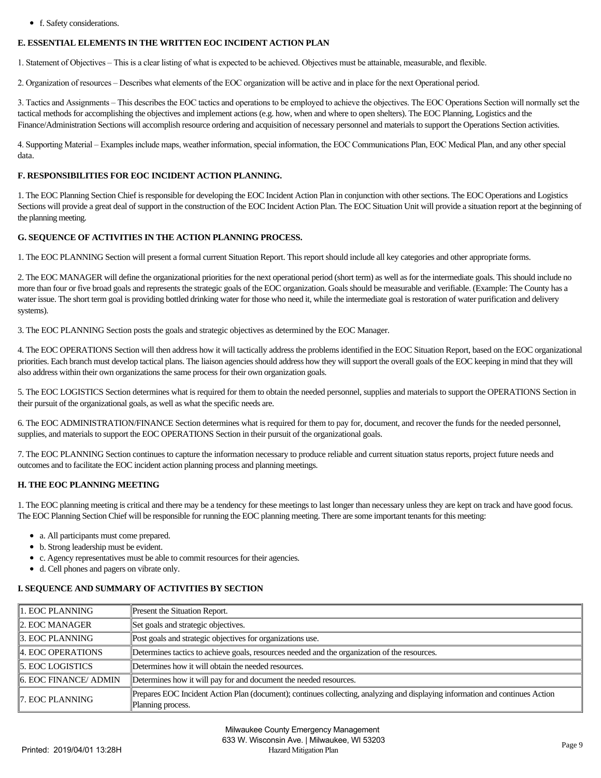f. Safety considerations.

# **E. ESSENTIAL ELEMENTS IN THE WRITTEN EOC INCIDENT ACTION PLAN**

1. Statement of Objectives – This is a clear listing of what is expected to be achieved. Objectives must be attainable, measurable, and flexible.

2. Organization of resources – Describes what elements of the EOC organization will be active and in place for the next Operational period.

3. Tactics and Assignments – This describes the EOC tactics and operations to be employed to achieve the objectives. The EOC Operations Section will normally set the tactical methods for accomplishing the objectives and implement actions (e.g. how, when and where to open shelters). The EOC Planning, Logistics and the Finance/Administration Sections will accomplish resource ordering and acquisition of necessary personnel and materials to support the Operations Section activities.

4. Supporting Material – Examples include maps, weather information, special information, the EOC Communications Plan, EOC Medical Plan, and any other special data.

## **F. RESPONSIBILITIES FOR EOC INCIDENT ACTION PLANNING.**

1. The EOC Planning Section Chief is responsible for developing the EOC Incident Action Plan in conjunction with other sections. The EOC Operations and Logistics Sections will provide a great deal of support in the construction of the EOC Incident Action Plan. The EOC Situation Unit will provide a situation report at the beginning of the planning meeting.

## **G. SEQUENCE OF ACTIVITIES IN THE ACTION PLANNING PROCESS.**

1. The EOC PLANNING Section will present a formal current Situation Report. This report should include all key categories and other appropriate forms.

2. The EOC MANAGER will define the organizational priorities for the next operational period (short term) as well as for the intermediate goals. This should include no more than four or five broad goals and represents the strategic goals of the EOC organization. Goals should be measurable and verifiable. (Example: The County has a water issue. The short term goal is providing bottled drinking water for those who need it, while the intermediate goal is restoration of water purification and delivery systems).

3. The EOC PLANNING Section posts the goals and strategic objectives as determined by the EOC Manager.

4. The EOC OPERATIONS Section will then address how it will tactically address the problems identified in the EOC Situation Report, based on the EOC organizational priorities. Each branch must develop tactical plans. The liaison agencies should address how they will support the overall goals of the EOC keeping in mind that they will also address within their own organizations the same process for their own organization goals.

5. The EOC LOGISTICS Section determines what is required for them to obtain the needed personnel, supplies and materials to support the OPERATIONS Section in their pursuit of the organizational goals, as well as what the specific needs are.

6. The EOC ADMINISTRATION/FINANCE Section determines what is required for them to pay for, document, and recover the funds for the needed personnel, supplies, and materials to support the EOC OPERATIONS Section in their pursuit of the organizational goals.

7. The EOC PLANNING Section continues to capture the information necessary to produce reliable and current situation status reports, project future needs and outcomes and to facilitate the EOC incident action planning process and planning meetings.

## **H. THE EOC PLANNING MEETING**

1. The EOC planning meeting is critical and there may be a tendency for these meetings to last longer than necessary unless they are kept on track and have good focus. The EOC Planning Section Chief will be responsible for running the EOC planning meeting. There are some important tenants for this meeting:

- a. All participants must come prepared.
- b. Strong leadership must be evident.
- c. Agency representatives must be able to commit resources for their agencies.
- d. Cell phones and pagers on vibrate only.

## **I. SEQUENCE AND SUMMARY OF ACTIVITIES BY SECTION**

| 1. EOC PLANNING       | Present the Situation Report.                                                                                                 |
|-----------------------|-------------------------------------------------------------------------------------------------------------------------------|
| 2. EOC MANAGER        | Set goals and strategic objectives.                                                                                           |
| 3. EOC PLANNING       | Post goals and strategic objectives for organizations use.                                                                    |
| 4. EOC OPERATIONS     | Determines tactics to achieve goals, resources needed and the organization of the resources.                                  |
| 5. EOC LOGISTICS      | Determines how it will obtain the needed resources.                                                                           |
| 6. EOC FINANCE/ ADMIN | Determines how it will pay for and document the needed resources.                                                             |
| 7. EOC PLANNING       | Prepares EOC Incident Action Plan (document); continues collecting, analyzing and displaying information and continues Action |
|                       | Planning process.                                                                                                             |